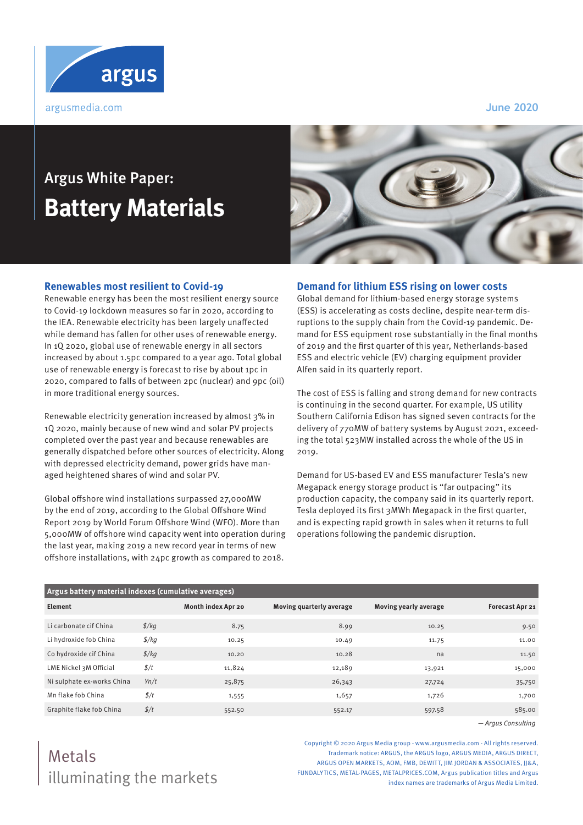

**June 2020**

# Argus White Paper: **Battery Materials**



### **Renewables most resilient to Covid-19**

Renewable energy has been the most resilient energy source to Covid-19 lockdown measures so far in 2020, according to the IEA. Renewable electricity has been largely unaffected while demand has fallen for other uses of renewable energy. In 1Q 2020, global use of renewable energy in all sectors increased by about 1.5pc compared to a year ago. Total global use of renewable energy is forecast to rise by about 1pc in 2020, compared to falls of between 2pc (nuclear) and 9pc (oil) in more traditional energy sources.

Renewable electricity generation increased by almost 3% in 1Q 2020, mainly because of new wind and solar PV projects completed over the past year and because renewables are generally dispatched before other sources of electricity. Along with depressed electricity demand, power grids have managed heightened shares of wind and solar PV.

Global offshore wind installations surpassed 27,000MW by the end of 2019, according to the Global Offshore Wind Report 2019 by World Forum Offshore Wind (WFO). More than 5,000MW of offshore wind capacity went into operation during the last year, making 2019 a new record year in terms of new offshore installations, with 24pc growth as compared to 2018.

### **Demand for lithium ESS rising on lower costs**

Global demand for lithium-based energy storage systems (ESS) is accelerating as costs decline, despite near-term disruptions to the supply chain from the Covid-19 pandemic. Demand for ESS equipment rose substantially in the final months of 2019 and the first quarter of this year, Netherlands-based ESS and electric vehicle (EV) charging equipment provider Alfen said in its quarterly report.

The cost of ESS is falling and strong demand for new contracts is continuing in the second quarter. For example, US utility Southern California Edison has signed seven contracts for the delivery of 770MW of battery systems by August 2021, exceeding the total 523MW installed across the whole of the US in 2019.

Demand for US-based EV and ESS manufacturer Tesla's new Megapack energy storage product is "far outpacing" its production capacity, the company said in its quarterly report. Tesla deployed its first 3MWh Megapack in the first quarter, and is expecting rapid growth in sales when it returns to full operations following the pandemic disruption.

| Argus battery material indexes (cumulative averages) |                |                    |                          |                       |                        |
|------------------------------------------------------|----------------|--------------------|--------------------------|-----------------------|------------------------|
| Element                                              |                | Month index Apr 20 | Moving quarterly average | Moving yearly average | <b>Forecast Apr 21</b> |
| Li carbonate cif China                               | $\frac{f}{kq}$ | 8.75               | 8.99                     | 10.25                 | 9.50                   |
| Li hydroxide fob China                               | $\frac{f}{g}$  | 10.25              | 10.49                    | 11.75                 | 11.00                  |
| Co hydroxide cif China                               | $\frac{f}{kq}$ | 10.20              | 10.28                    | na                    | 11.50                  |
| LME Nickel 3M Official                               | $\frac{f}{f}$  | 11,824             | 12,189                   | 13,921                | 15,000                 |
| Ni sulphate ex-works China                           | Yn/t           | 25,875             | 26,343                   | 27,724                | 35,750                 |
| Mn flake fob China                                   | $\frac{f}{f}$  | 1,555              | 1,657                    | 1,726                 | 1,700                  |
| Graphite flake fob China                             | $\frac{f}{t}$  | 552.50             | 552.17                   | 597.58                | 585.00                 |

— Argus Consulting

Copyright © 2020 Argus Media group - www.argusmedia.com - All rights reserved. Trademark notice: ARGUS, the ARGUS logo, ARGUS MEDIA, ARGUS DIRECT, ARGUS OPEN MARKETS, AOM, FMB, DEWITT, IIM JORDAN & ASSOCIATES, II&A, FUNDALYTICS, METAL-PAGES, METALPRICES.COM, Argus publication titles and Argus index names are trademarks of Argus Media Limited.

## illuminating the markets Metals